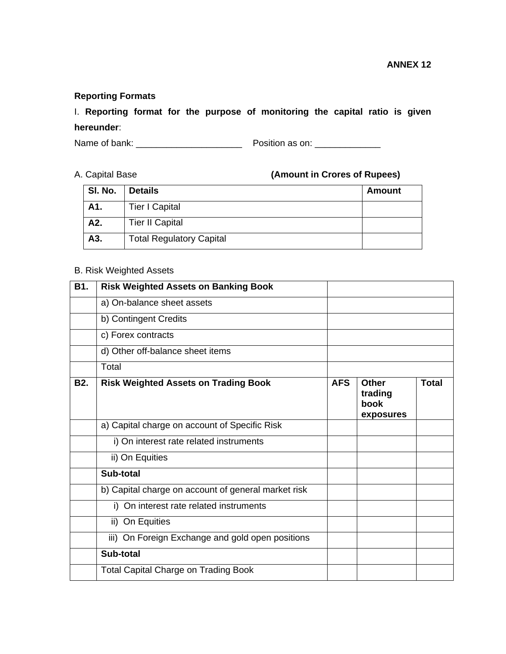# **Reporting Formats**

# I. **Reporting format for the purpose of monitoring the capital ratio is given hereunder**:

Name of bank: \_\_\_\_\_\_\_\_\_\_\_\_\_\_\_\_\_\_\_\_\_ Position as on: \_\_\_\_\_\_\_\_\_\_\_\_\_

A. Capital Base **(Amount in Crores of Rupees)** 

| SI. No. | <b>Details</b>                  | <b>Amount</b> |
|---------|---------------------------------|---------------|
| A1.     | <b>Tier I Capital</b>           |               |
| A2.     | <b>Tier II Capital</b>          |               |
| A3.     | <b>Total Regulatory Capital</b> |               |

# B. Risk Weighted Assets

| B1.        | <b>Risk Weighted Assets on Banking Book</b>         |            |                                              |              |
|------------|-----------------------------------------------------|------------|----------------------------------------------|--------------|
|            | a) On-balance sheet assets                          |            |                                              |              |
|            | b) Contingent Credits                               |            |                                              |              |
|            | c) Forex contracts                                  |            |                                              |              |
|            | d) Other off-balance sheet items                    |            |                                              |              |
|            | Total                                               |            |                                              |              |
| <b>B2.</b> | <b>Risk Weighted Assets on Trading Book</b>         | <b>AFS</b> | <b>Other</b><br>trading<br>book<br>exposures | <b>Total</b> |
|            | a) Capital charge on account of Specific Risk       |            |                                              |              |
|            | i) On interest rate related instruments             |            |                                              |              |
|            | ii) On Equities                                     |            |                                              |              |
|            | Sub-total                                           |            |                                              |              |
|            | b) Capital charge on account of general market risk |            |                                              |              |
|            | i) On interest rate related instruments             |            |                                              |              |
|            | ii) On Equities                                     |            |                                              |              |
|            | iii) On Foreign Exchange and gold open positions    |            |                                              |              |
|            | Sub-total                                           |            |                                              |              |
|            | <b>Total Capital Charge on Trading Book</b>         |            |                                              |              |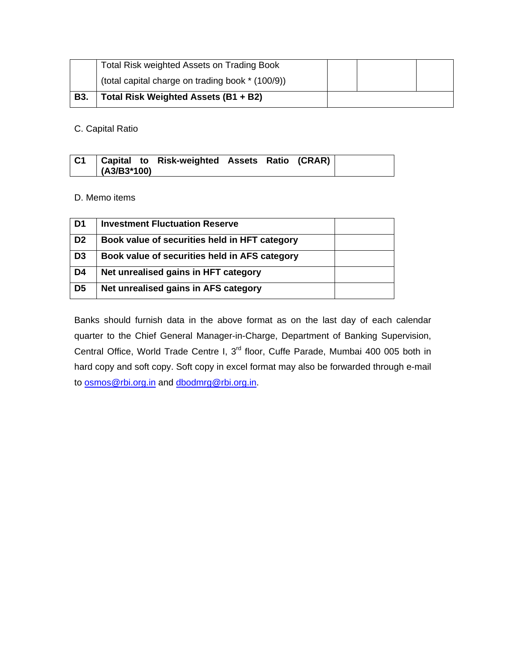|            | Total Risk weighted Assets on Trading Book       |  |  |
|------------|--------------------------------------------------|--|--|
|            | (total capital charge on trading book * (100/9)) |  |  |
| <b>B3.</b> | Total Risk Weighted Assets (B1 + B2)             |  |  |

C. Capital Ratio

| C1 |               | Capital to Risk-weighted Assets Ratio (CRAR) |  |  |
|----|---------------|----------------------------------------------|--|--|
|    | $(A3/B3*100)$ |                                              |  |  |

# D. Memo items

| D <sub>1</sub> | <b>Investment Fluctuation Reserve</b>         |  |
|----------------|-----------------------------------------------|--|
| D <sub>2</sub> | Book value of securities held in HFT category |  |
| D <sub>3</sub> | Book value of securities held in AFS category |  |
| D <sub>4</sub> | Net unrealised gains in HFT category          |  |
| D <sub>5</sub> | Net unrealised gains in AFS category          |  |

Banks should furnish data in the above format as on the last day of each calendar quarter to the Chief General Manager-in-Charge, Department of Banking Supervision, Central Office, World Trade Centre I, 3rd floor, Cuffe Parade, Mumbai 400 005 both in hard copy and soft copy. Soft copy in excel format may also be forwarded through e-mail to **osmos@rbi.org.in** and **dbodmrg@rbi.org.in.**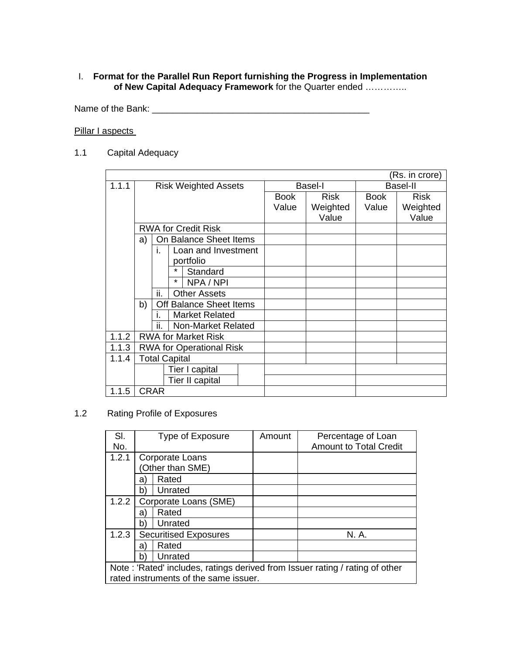# I. **Format for the Parallel Run Report furnishing the Progress in Implementation of New Capital Adequacy Framework** for the Quarter ended …………..

Name of the Bank: \_\_\_\_\_\_\_\_\_\_\_\_\_\_\_\_\_\_\_\_\_\_\_\_\_\_\_\_\_\_\_\_\_\_\_\_\_\_\_\_\_\_\_

# Pillar I aspects

1.1 Capital Adequacy

|       |                             |             |                                 |                |             |                 | (Rs. in crore) |
|-------|-----------------------------|-------------|---------------------------------|----------------|-------------|-----------------|----------------|
| 1.1.1 | <b>Risk Weighted Assets</b> |             |                                 | <b>Basel-I</b> |             | <b>Basel-II</b> |                |
|       |                             |             |                                 | Book           | <b>Risk</b> | <b>Book</b>     | <b>Risk</b>    |
|       |                             |             |                                 | Value          | Weighted    | Value           | Weighted       |
|       |                             |             |                                 |                | Value       |                 | Value          |
|       |                             |             | <b>RWA for Credit Risk</b>      |                |             |                 |                |
|       | a)                          |             | On Balance Sheet Items          |                |             |                 |                |
|       |                             | i.          | Loan and Investment             |                |             |                 |                |
|       |                             |             | portfolio                       |                |             |                 |                |
|       |                             |             | Standard                        |                |             |                 |                |
|       |                             |             | *<br>NPA / NPI                  |                |             |                 |                |
|       |                             | ii.         | <b>Other Assets</b>             |                |             |                 |                |
|       | b)                          |             | Off Balance Sheet Items         |                |             |                 |                |
|       |                             | L.          | <b>Market Related</b>           |                |             |                 |                |
|       |                             | ii.         | Non-Market Related              |                |             |                 |                |
| 1.1.2 |                             |             | <b>RWA for Market Risk</b>      |                |             |                 |                |
| 1.1.3 |                             |             | <b>RWA for Operational Risk</b> |                |             |                 |                |
| 1.1.4 |                             |             | <b>Total Capital</b>            |                |             |                 |                |
|       |                             |             | Tier I capital                  |                |             |                 |                |
|       |                             |             | Tier II capital                 |                |             |                 |                |
| 1.1.5 |                             | <b>CRAR</b> |                                 |                |             |                 |                |

1.2 Rating Profile of Exposures

| SI.<br>No. |                                                                              | Type of Exposure                      | Amount | Percentage of Loan<br><b>Amount to Total Credit</b> |  |  |
|------------|------------------------------------------------------------------------------|---------------------------------------|--------|-----------------------------------------------------|--|--|
| 1.2.1      |                                                                              | Corporate Loans<br>Other than SME)    |        |                                                     |  |  |
|            | a)                                                                           | Rated                                 |        |                                                     |  |  |
|            | Unrated<br>b)                                                                |                                       |        |                                                     |  |  |
| 1.2.2      | Corporate Loans (SME)                                                        |                                       |        |                                                     |  |  |
|            | a)                                                                           | Rated                                 |        |                                                     |  |  |
|            | b                                                                            | Unrated                               |        |                                                     |  |  |
| 1.2.3      |                                                                              | <b>Securitised Exposures</b>          |        | N. A.                                               |  |  |
|            | a)                                                                           | Rated                                 |        |                                                     |  |  |
|            | Unrated<br>b                                                                 |                                       |        |                                                     |  |  |
|            | Note: 'Rated' includes, ratings derived from Issuer rating / rating of other |                                       |        |                                                     |  |  |
|            |                                                                              | rated instruments of the same issuer. |        |                                                     |  |  |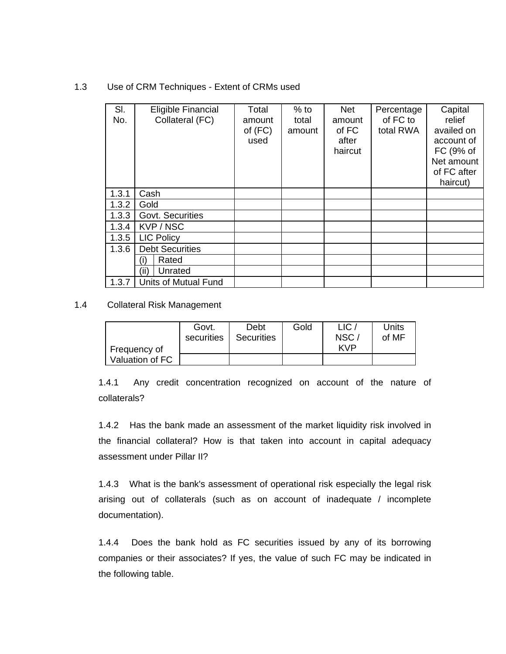#### 1.3 Use of CRM Techniques - Extent of CRMs used

| SI.<br>No. | Eligible Financial<br>Collateral (FC) | Total<br>amount<br>of $(FC)$<br>used | $%$ to<br>total<br>amount | <b>Net</b><br>amount<br>of FC<br>after<br>haircut | Percentage<br>of FC to<br>total RWA | Capital<br>relief<br>availed on<br>account of<br>FC (9% of<br>Net amount<br>of FC after<br>haircut) |
|------------|---------------------------------------|--------------------------------------|---------------------------|---------------------------------------------------|-------------------------------------|-----------------------------------------------------------------------------------------------------|
| 1.3.1      | Cash                                  |                                      |                           |                                                   |                                     |                                                                                                     |
| 1.3.2      | Gold                                  |                                      |                           |                                                   |                                     |                                                                                                     |
| 1.3.3      | Govt. Securities                      |                                      |                           |                                                   |                                     |                                                                                                     |
| 1.3.4      | KVP / NSC                             |                                      |                           |                                                   |                                     |                                                                                                     |
| 1.3.5      | <b>LIC Policy</b>                     |                                      |                           |                                                   |                                     |                                                                                                     |
| 1.3.6      | <b>Debt Securities</b>                |                                      |                           |                                                   |                                     |                                                                                                     |
|            | Rated<br>(i)                          |                                      |                           |                                                   |                                     |                                                                                                     |
|            | (ii)<br>Unrated                       |                                      |                           |                                                   |                                     |                                                                                                     |
| 1.3.7      | Units of Mutual Fund                  |                                      |                           |                                                   |                                     |                                                                                                     |

1.4 Collateral Risk Management

|                 | Govt.<br>securities | Debt<br><b>Securities</b> | Gold | LIC<br>NSC. | Units<br>of MF |
|-----------------|---------------------|---------------------------|------|-------------|----------------|
| Frequency of    |                     |                           |      | <b>KVP</b>  |                |
| Valuation of FC |                     |                           |      |             |                |

1.4.1 Any credit concentration recognized on account of the nature of collaterals?

1.4.2 Has the bank made an assessment of the market liquidity risk involved in the financial collateral? How is that taken into account in capital adequacy assessment under Pillar II?

1.4.3 What is the bank's assessment of operational risk especially the legal risk arising out of collaterals (such as on account of inadequate / incomplete documentation).

1.4.4 Does the bank hold as FC securities issued by any of its borrowing companies or their associates? If yes, the value of such FC may be indicated in the following table.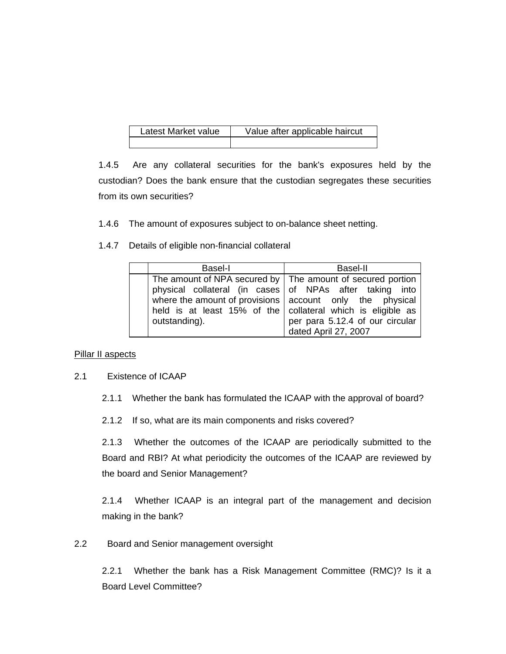| Latest Market value | Value after applicable haircut |
|---------------------|--------------------------------|
|                     |                                |

1.4.5 Are any collateral securities for the bank's exposures held by the custodian? Does the bank ensure that the custodian segregates these securities from its own securities?

1.4.6 The amount of exposures subject to on-balance sheet netting.

1.4.7 Details of eligible non-financial collateral

| Basel-I                                                                                                                                                                                                                                                                 | Basel-II                                                |
|-------------------------------------------------------------------------------------------------------------------------------------------------------------------------------------------------------------------------------------------------------------------------|---------------------------------------------------------|
| The amount of NPA secured by   The amount of secured portion<br>physical collateral (in cases of NPAs after taking into<br>where the amount of provisions $ $ account only the physical<br>held is at least 15% of the collateral which is eligible as<br>outstanding). | per para 5.12.4 of our circular<br>dated April 27, 2007 |

### **Pillar II aspects**

### 2.1 Existence of ICAAP

2.1.1 Whether the bank has formulated the ICAAP with the approval of board?

2.1.2 If so, what are its main components and risks covered?

2.1.3 Whether the outcomes of the ICAAP are periodically submitted to the Board and RBI? At what periodicity the outcomes of the ICAAP are reviewed by the board and Senior Management?

2.1.4 Whether ICAAP is an integral part of the management and decision making in the bank?

2.2 Board and Senior management oversight

2.2.1 Whether the bank has a Risk Management Committee (RMC)? Is it a Board Level Committee?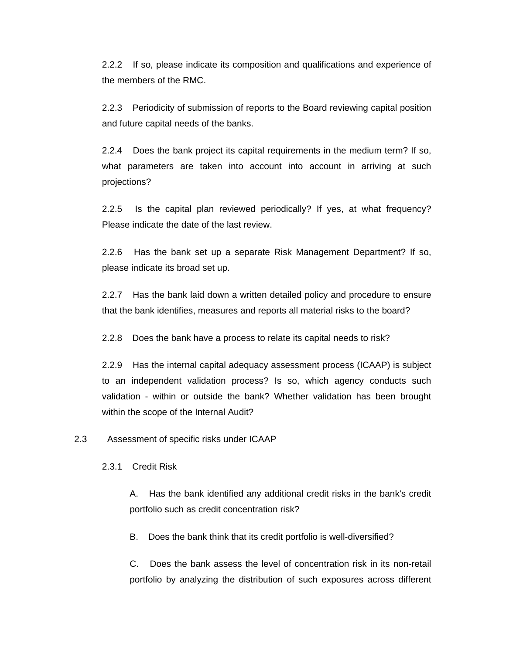2.2.2 If so, please indicate its composition and qualifications and experience of the members of the RMC.

2.2.3 Periodicity of submission of reports to the Board reviewing capital position and future capital needs of the banks.

2.2.4 Does the bank project its capital requirements in the medium term? If so, what parameters are taken into account into account in arriving at such projections?

2.2.5 Is the capital plan reviewed periodically? If yes, at what frequency? Please indicate the date of the last review.

2.2.6 Has the bank set up a separate Risk Management Department? If so, please indicate its broad set up.

2.2.7 Has the bank laid down a written detailed policy and procedure to ensure that the bank identifies, measures and reports all material risks to the board?

2.2.8 Does the bank have a process to relate its capital needs to risk?

2.2.9 Has the internal capital adequacy assessment process (ICAAP) is subject to an independent validation process? Is so, which agency conducts such validation - within or outside the bank? Whether validation has been brought within the scope of the Internal Audit?

2.3 Assessment of specific risks under ICAAP

2.3.1 Credit Risk

A. Has the bank identified any additional credit risks in the bank's credit portfolio such as credit concentration risk?

B. Does the bank think that its credit portfolio is well-diversified?

C. Does the bank assess the level of concentration risk in its non-retail portfolio by analyzing the distribution of such exposures across different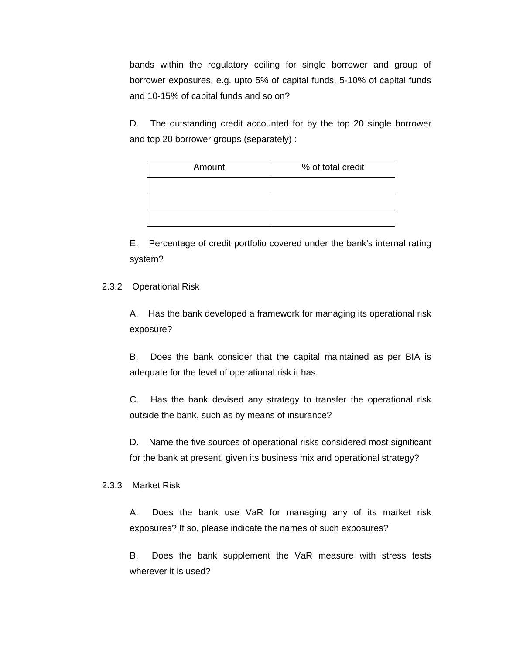bands within the regulatory ceiling for single borrower and group of borrower exposures, e.g. upto 5% of capital funds, 5-10% of capital funds and 10-15% of capital funds and so on?

D. The outstanding credit accounted for by the top 20 single borrower and top 20 borrower groups (separately) :

| Amount | % of total credit |
|--------|-------------------|
|        |                   |
|        |                   |
|        |                   |

E. Percentage of credit portfolio covered under the bank's internal rating system?

### 2.3.2 Operational Risk

A. Has the bank developed a framework for managing its operational risk exposure?

B. Does the bank consider that the capital maintained as per BIA is adequate for the level of operational risk it has.

C. Has the bank devised any strategy to transfer the operational risk outside the bank, such as by means of insurance?

D. Name the five sources of operational risks considered most significant for the bank at present, given its business mix and operational strategy?

#### 2.3.3 Market Risk

A. Does the bank use VaR for managing any of its market risk exposures? If so, please indicate the names of such exposures?

B. Does the bank supplement the VaR measure with stress tests wherever it is used?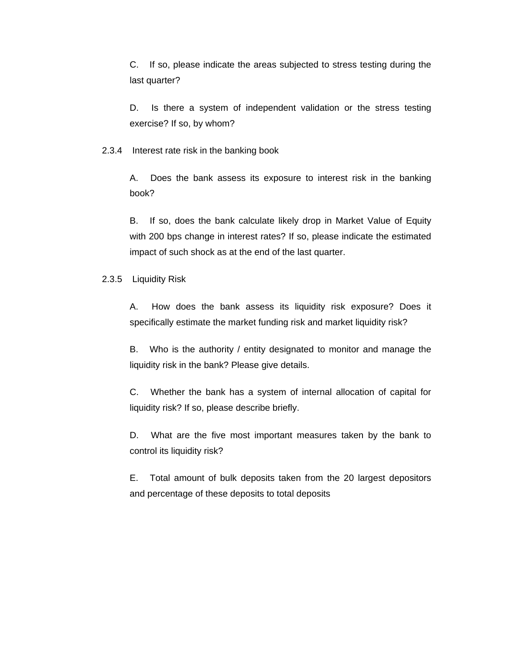C. If so, please indicate the areas subjected to stress testing during the last quarter?

D. Is there a system of independent validation or the stress testing exercise? If so, by whom?

2.3.4 Interest rate risk in the banking book

A. Does the bank assess its exposure to interest risk in the banking book?

B. If so, does the bank calculate likely drop in Market Value of Equity with 200 bps change in interest rates? If so, please indicate the estimated impact of such shock as at the end of the last quarter.

2.3.5 Liquidity Risk

A. How does the bank assess its liquidity risk exposure? Does it specifically estimate the market funding risk and market liquidity risk?

B. Who is the authority / entity designated to monitor and manage the liquidity risk in the bank? Please give details.

C. Whether the bank has a system of internal allocation of capital for liquidity risk? If so, please describe briefly.

D. What are the five most important measures taken by the bank to control its liquidity risk?

E. Total amount of bulk deposits taken from the 20 largest depositors and percentage of these deposits to total deposits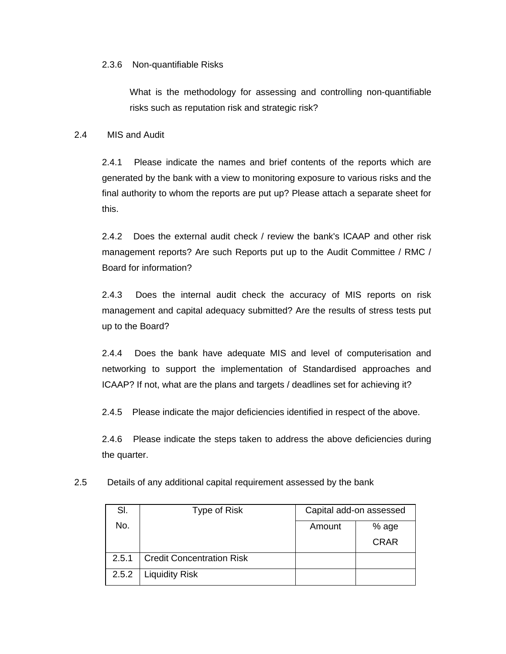2.3.6 Non-quantifiable Risks

What is the methodology for assessing and controlling non-quantifiable risks such as reputation risk and strategic risk?

#### 2.4 MIS and Audit

2.4.1 Please indicate the names and brief contents of the reports which are generated by the bank with a view to monitoring exposure to various risks and the final authority to whom the reports are put up? Please attach a separate sheet for this.

2.4.2 Does the external audit check / review the bank's ICAAP and other risk management reports? Are such Reports put up to the Audit Committee / RMC / Board for information?

2.4.3 Does the internal audit check the accuracy of MIS reports on risk management and capital adequacy submitted? Are the results of stress tests put up to the Board?

2.4.4 Does the bank have adequate MIS and level of computerisation and networking to support the implementation of Standardised approaches and ICAAP? If not, what are the plans and targets / deadlines set for achieving it?

2.4.5 Please indicate the major deficiencies identified in respect of the above.

2.4.6 Please indicate the steps taken to address the above deficiencies during the quarter.

| 2.5<br>Details of any additional capital requirement assessed by the bank |  |
|---------------------------------------------------------------------------|--|
|---------------------------------------------------------------------------|--|

| SI.   | Type of Risk                     | Capital add-on assessed |             |  |
|-------|----------------------------------|-------------------------|-------------|--|
| No.   |                                  | Amount                  | % age       |  |
|       |                                  |                         | <b>CRAR</b> |  |
| 2.5.1 | <b>Credit Concentration Risk</b> |                         |             |  |
| 2.5.2 | <b>Liquidity Risk</b>            |                         |             |  |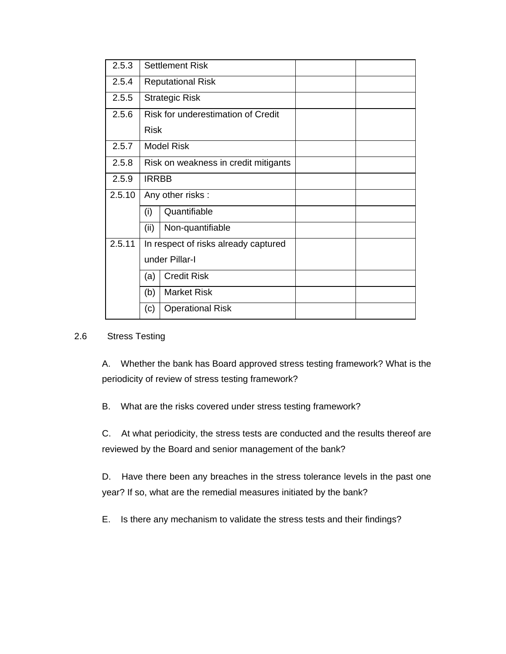| 2.5.3  | <b>Settlement Risk</b>               |                                      |  |  |  |  |
|--------|--------------------------------------|--------------------------------------|--|--|--|--|
| 2.5.4  | <b>Reputational Risk</b>             |                                      |  |  |  |  |
| 2.5.5  | <b>Strategic Risk</b>                |                                      |  |  |  |  |
| 2.5.6  | Risk for underestimation of Credit   |                                      |  |  |  |  |
|        | <b>Risk</b>                          |                                      |  |  |  |  |
| 2.5.7  | <b>Model Risk</b>                    |                                      |  |  |  |  |
| 2.5.8  | Risk on weakness in credit mitigants |                                      |  |  |  |  |
| 2.5.9  | <b>IRRBB</b>                         |                                      |  |  |  |  |
| 2.5.10 | Any other risks:                     |                                      |  |  |  |  |
|        | (i)                                  | Quantifiable                         |  |  |  |  |
|        | (ii)                                 | Non-quantifiable                     |  |  |  |  |
| 2.5.11 |                                      | In respect of risks already captured |  |  |  |  |
|        | under Pillar-I                       |                                      |  |  |  |  |
|        | (a)                                  | <b>Credit Risk</b>                   |  |  |  |  |
|        | (b)                                  | <b>Market Risk</b>                   |  |  |  |  |
|        | (c)                                  | <b>Operational Risk</b>              |  |  |  |  |

### 2.6 Stress Testing

A. Whether the bank has Board approved stress testing framework? What is the periodicity of review of stress testing framework?

B. What are the risks covered under stress testing framework?

C. At what periodicity, the stress tests are conducted and the results thereof are reviewed by the Board and senior management of the bank?

D. Have there been any breaches in the stress tolerance levels in the past one year? If so, what are the remedial measures initiated by the bank?

E. Is there any mechanism to validate the stress tests and their findings?